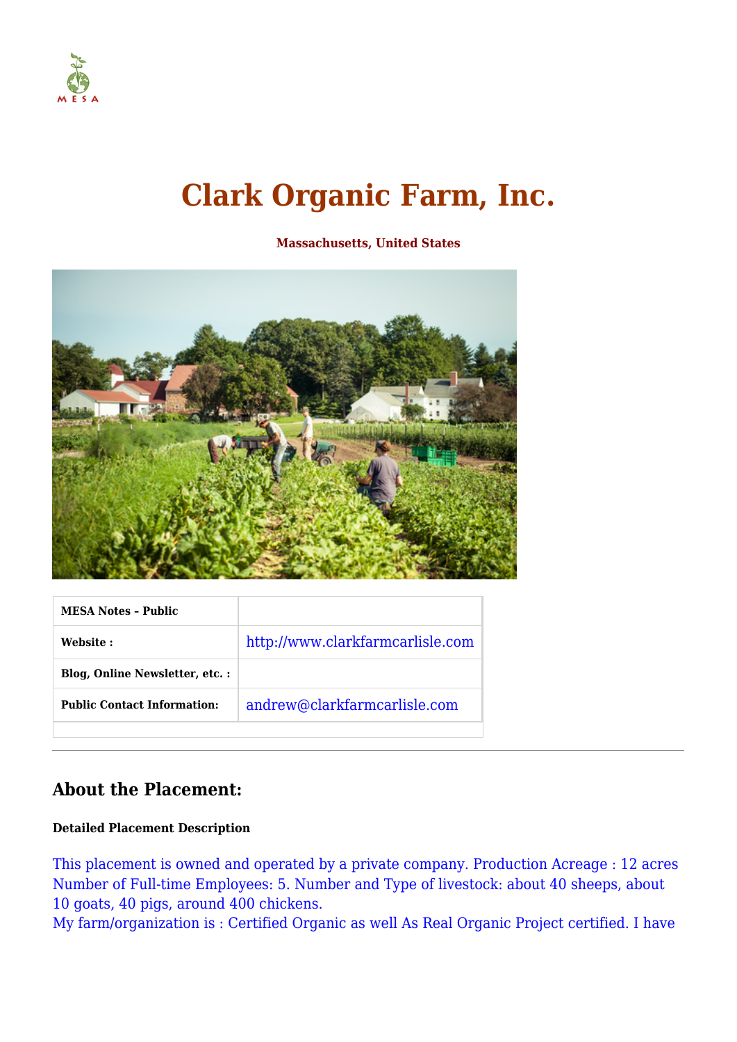

# **Clark Organic Farm, Inc.**

**Massachusetts, United States**



| <b>MESA Notes - Public</b>         |                                  |
|------------------------------------|----------------------------------|
| Website :                          | http://www.clarkfarmcarlisle.com |
| Blog, Online Newsletter, etc.:     |                                  |
| <b>Public Contact Information:</b> | andrew@clarkfarmcarlisle.com     |
|                                    |                                  |

# **About the Placement:**

## **Detailed Placement Description**

This placement is owned and operated by a private company. Production Acreage : 12 acres Number of Full-time Employees: 5. Number and Type of livestock: about 40 sheeps, about 10 goats, 40 pigs, around 400 chickens.

My farm/organization is : Certified Organic as well As Real Organic Project certified. I have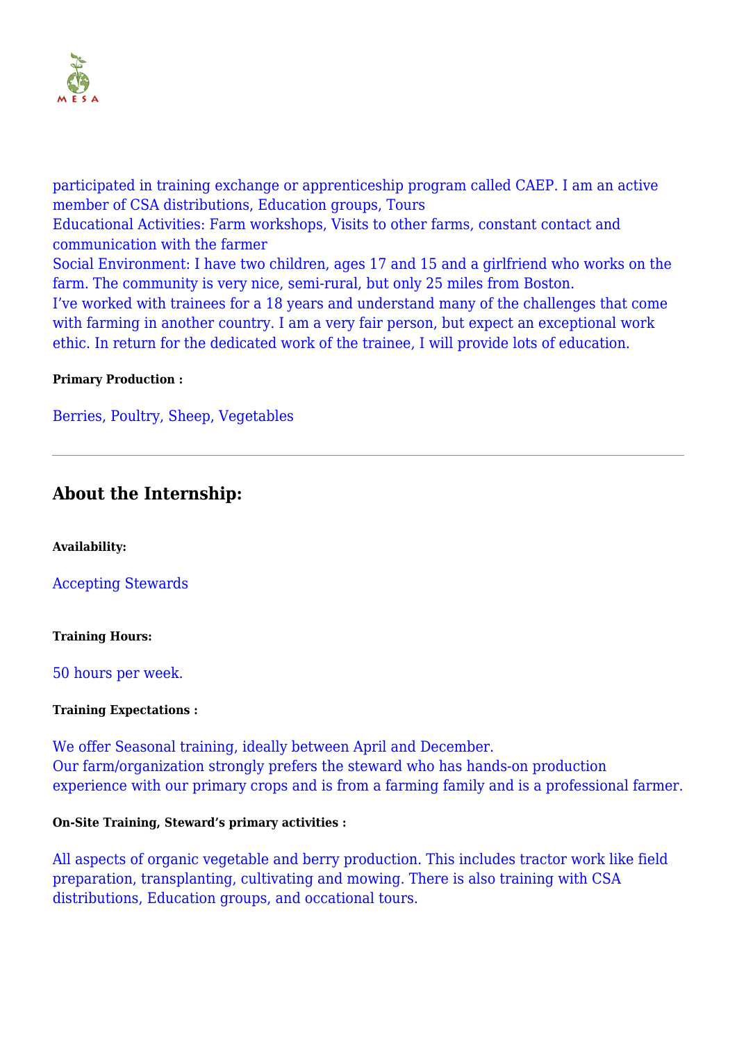

participated in training exchange or apprenticeship program called CAEP. I am an active member of CSA distributions, Education groups, Tours Educational Activities: Farm workshops, Visits to other farms, constant contact and communication with the farmer Social Environment: I have two children, ages 17 and 15 and a girlfriend who works on the farm. The community is very nice, semi-rural, but only 25 miles from Boston. I've worked with trainees for a 18 years and understand many of the challenges that come with farming in another country. I am a very fair person, but expect an exceptional work ethic. In return for the dedicated work of the trainee, I will provide lots of education.

## **Primary Production :**

Berries, Poultry, Sheep, Vegetables

# **About the Internship:**

**Availability:**

Accepting Stewards

#### **Training Hours:**

50 hours per week.

#### **Training Expectations :**

We offer Seasonal training, ideally between April and December. Our farm/organization strongly prefers the steward who has hands-on production experience with our primary crops and is from a farming family and is a professional farmer.

## **On-Site Training, Steward's primary activities :**

All aspects of organic vegetable and berry production. This includes tractor work like field preparation, transplanting, cultivating and mowing. There is also training with CSA distributions, Education groups, and occational tours.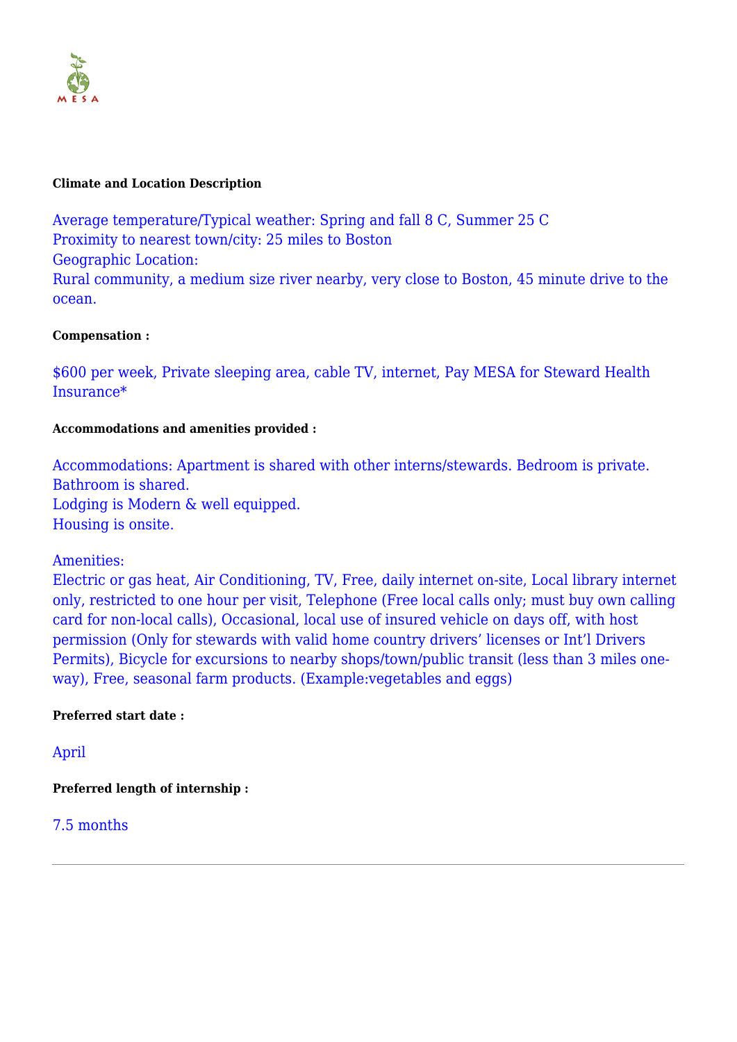

#### **Climate and Location Description**

Average temperature/Typical weather: Spring and fall 8 C, Summer 25 C Proximity to nearest town/city: 25 miles to Boston Geographic Location: Rural community, a medium size river nearby, very close to Boston, 45 minute drive to the ocean.

#### **Compensation :**

\$600 per week, Private sleeping area, cable TV, internet, Pay MESA for Steward Health Insurance\*

#### **Accommodations and amenities provided :**

Accommodations: Apartment is shared with other interns/stewards. Bedroom is private. Bathroom is shared. Lodging is Modern & well equipped. Housing is onsite.

## Amenities:

Electric or gas heat, Air Conditioning, TV, Free, daily internet on-site, Local library internet only, restricted to one hour per visit, Telephone (Free local calls only; must buy own calling card for non-local calls), Occasional, local use of insured vehicle on days off, with host permission (Only for stewards with valid home country drivers' licenses or Int'l Drivers Permits), Bicycle for excursions to nearby shops/town/public transit (less than 3 miles oneway), Free, seasonal farm products. (Example:vegetables and eggs)

## **Preferred start date :**

April

**Preferred length of internship :**

## 7.5 months